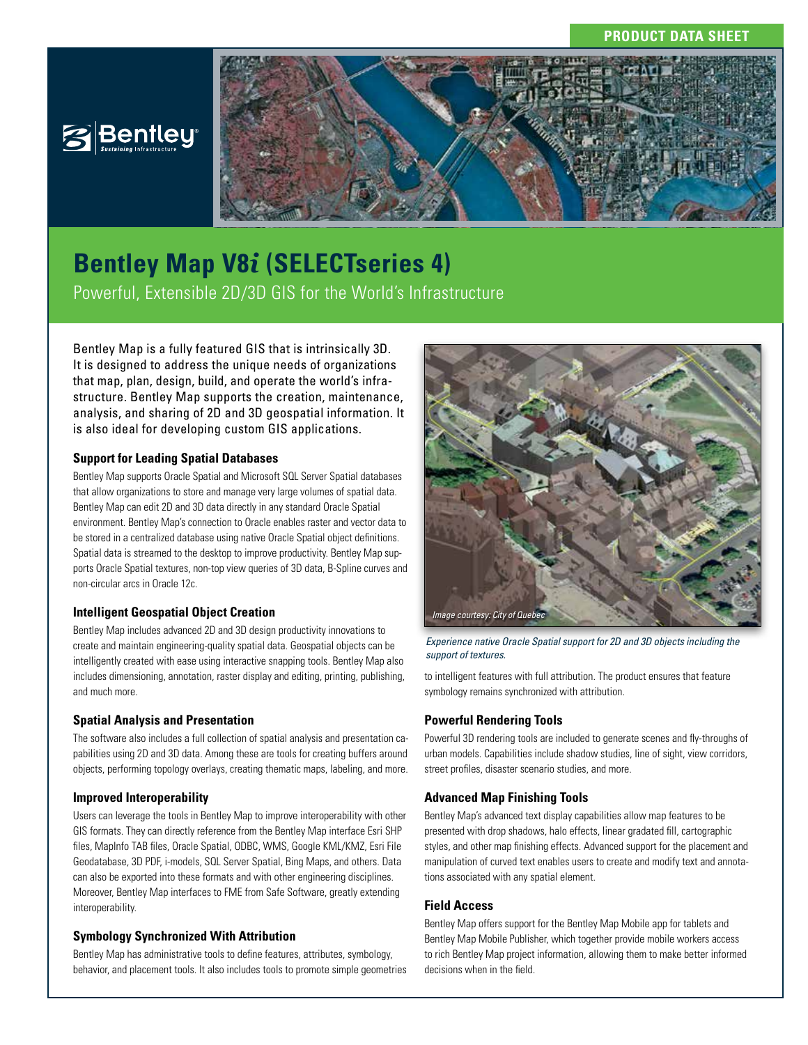## **PRODUCT DATA SHEET**



# **Bentley Map V8***i* **(SELECTseries 4)**

Powerful, Extensible 2D/3D GIS for the World's Infrastructure

Bentley Map is a fully featured GIS that is intrinsically 3D. It is designed to address the unique needs of organizations that map, plan, design, build, and operate the world's infrastructure. Bentley Map supports the creation, maintenance, analysis, and sharing of 2D and 3D geospatial information. It is also ideal for developing custom GIS applications.

## **Support for Leading Spatial Databases**

Bentley Map supports Oracle Spatial and Microsoft SQL Server Spatial databases that allow organizations to store and manage very large volumes of spatial data. Bentley Map can edit 2D and 3D data directly in any standard Oracle Spatial environment. Bentley Map's connection to Oracle enables raster and vector data to be stored in a centralized database using native Oracle Spatial object definitions. Spatial data is streamed to the desktop to improve productivity. Bentley Map supports Oracle Spatial textures, non-top view queries of 3D data, B-Spline curves and non-circular arcs in Oracle 12c.

#### **Intelligent Geospatial Object Creation**

Bentley Map includes advanced 2D and 3D design productivity innovations to create and maintain engineering-quality spatial data. Geospatial objects can be intelligently created with ease using interactive snapping tools. Bentley Map also includes dimensioning, annotation, raster display and editing, printing, publishing, and much more.

#### **Spatial Analysis and Presentation**

The software also includes a full collection of spatial analysis and presentation capabilities using 2D and 3D data. Among these are tools for creating buffers around objects, performing topology overlays, creating thematic maps, labeling, and more.

#### **Improved Interoperability**

Users can leverage the tools in Bentley Map to improve interoperability with other GIS formats. They can directly reference from the Bentley Map interface Esri SHP files, MapInfo TAB files, Oracle Spatial, ODBC, WMS, Google KML/KMZ, Esri File Geodatabase, 3D PDF, i-models, SQL Server Spatial, Bing Maps, and others. Data can also be exported into these formats and with other engineering disciplines. Moreover, Bentley Map interfaces to FME from Safe Software, greatly extending interoperability.

## **Symbology Synchronized With Attribution**

Bentley Map has administrative tools to define features, attributes, symbology, behavior, and placement tools. It also includes tools to promote simple geometries



*Experience native Oracle Spatial support for 2D and 3D objects including the support of textures.*

to intelligent features with full attribution. The product ensures that feature symbology remains synchronized with attribution.

## **Powerful Rendering Tools**

Powerful 3D rendering tools are included to generate scenes and fly-throughs of urban models. Capabilities include shadow studies, line of sight, view corridors, street profiles, disaster scenario studies, and more.

## **Advanced Map Finishing Tools**

Bentley Map's advanced text display capabilities allow map features to be presented with drop shadows, halo effects, linear gradated fill, cartographic styles, and other map finishing effects. Advanced support for the placement and manipulation of curved text enables users to create and modify text and annotations associated with any spatial element.

#### **Field Access**

Bentley Map offers support for the Bentley Map Mobile app for tablets and Bentley Map Mobile Publisher, which together provide mobile workers access to rich Bentley Map project information, allowing them to make better informed decisions when in the field.